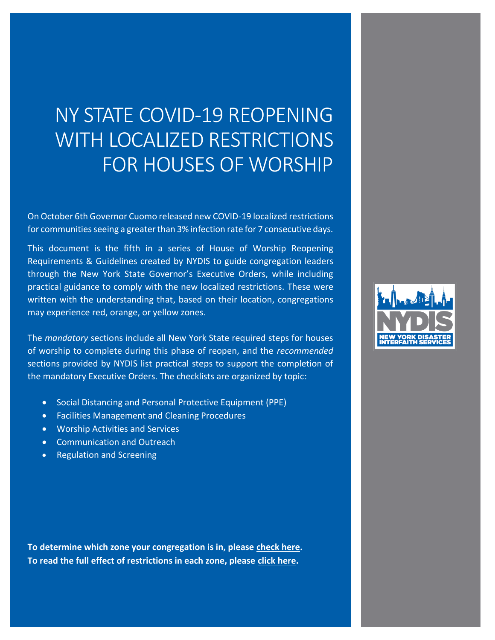## NY STATE COVID-19 REOPENING WITH LOCALIZED RESTRICTIONS FOR HOUSES OF WORSHIP

On October 6th Governor Cuomo released new COVID-19 localized restrictions for communities seeing a greater than 3% infection rate for 7 consecutive days.

This document is the fifth in a series of House of Worship Reopening Requirements & Guidelines created by NYDIS to guide congregation leaders through the New York State Governor's Executive Orders, while including practical guidance to comply with the new localized restrictions. These were written with the understanding that, based on their location, congregations may experience red, orange, or yellow zones.

The *mandatory* sections include all New York State required steps for houses of worship to complete during this phase of reopen, and the *recommended* sections provided by NYDIS list practical steps to support the completion of the mandatory Executive Orders. The checklists are organized by topic:

- Social Distancing and Personal Protective Equipment (PPE)
- Facilities Management and Cleaning Procedures
- Worship Activities and Services
- Communication and Outreach
- Regulation and Screening

**To determine which zone your congregation is in, please [check here.](https://nycgov.maps.arcgis.com/apps/instant/lookup/index.html?appid=021940a41da04314827e2782d3d1986f) To read the full effect of restrictions in each zone, please [click here.](https://www1.nyc.gov/assets/doh/downloads/pdf/covid/covid-19-localized-restrictions.pdf)** 

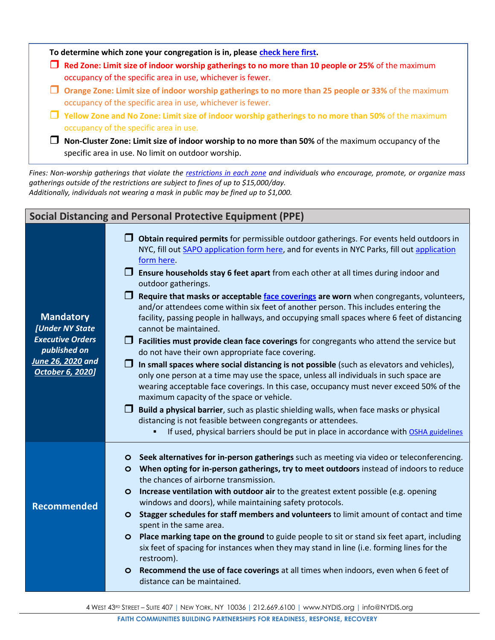|   | $\Box$ Red Zone: Limit size of indoor worship gatherings to no more than 10 people or 25% of the maximum<br>occupancy of the specific area in use, whichever is fewer.    |
|---|---------------------------------------------------------------------------------------------------------------------------------------------------------------------------|
|   | $\Box$ Orange Zone: Limit size of indoor worship gatherings to no more than 25 people or 33% of the maximum<br>occupancy of the specific area in use, whichever is fewer. |
|   | $\Box$ Yellow Zone and No Zone: Limit size of indoor worship gatherings to no more than 50% of the maximum<br>occupancy of the specific area in use.                      |
| H | Non-Cluster Zone: Limit size of indoor worship to no more than 50% of the maximum occupancy of the<br>specific area in use. No limit on outdoor worship.                  |

*Fines: Non-worship gatherings that violate the [restrictions in each zone](https://www1.nyc.gov/assets/doh/downloads/pdf/covid/covid-19-localized-restrictions.pdf) and individuals who encourage, promote, or organize mass gatherings outside of the restrictions are subject to fines of up to \$15,000/day. Additionally, individuals not wearing a mask in public may be fined up to \$1,000.* 

| <b>Social Distancing and Personal Protective Equipment (PPE)</b> |                                                                                                                                                                                                                                                                                                                                      |  |  |
|------------------------------------------------------------------|--------------------------------------------------------------------------------------------------------------------------------------------------------------------------------------------------------------------------------------------------------------------------------------------------------------------------------------|--|--|
|                                                                  | $\Box$ Obtain required permits for permissible outdoor gatherings. For events held outdoors in<br>NYC, fill out SAPO application form here, and for events in NYC Parks, fill out application<br>form here.                                                                                                                          |  |  |
|                                                                  | $\Box$ Ensure households stay 6 feet apart from each other at all times during indoor and<br>outdoor gatherings.                                                                                                                                                                                                                     |  |  |
| <b>Mandatory</b><br>[Under NY State                              | $\Box$ Require that masks or acceptable face coverings are worn when congregants, volunteers,<br>and/or attendees come within six feet of another person. This includes entering the<br>facility, passing people in hallways, and occupying small spaces where 6 feet of distancing<br>cannot be maintained.                         |  |  |
| <b>Executive Orders</b><br>published on                          | $\Box$ Facilities must provide clean face coverings for congregants who attend the service but<br>do not have their own appropriate face covering.                                                                                                                                                                                   |  |  |
| June 26, 2020 and<br><b>October 6, 2020]</b>                     | In small spaces where social distancing is not possible (such as elevators and vehicles),<br>$\Box$<br>only one person at a time may use the space, unless all individuals in such space are<br>wearing acceptable face coverings. In this case, occupancy must never exceed 50% of the<br>maximum capacity of the space or vehicle. |  |  |
|                                                                  | $\Box$ Build a physical barrier, such as plastic shielding walls, when face masks or physical<br>distancing is not feasible between congregants or attendees.                                                                                                                                                                        |  |  |
|                                                                  | If used, physical barriers should be put in place in accordance with OSHA guidelines                                                                                                                                                                                                                                                 |  |  |
|                                                                  | O Seek alternatives for in-person gatherings such as meeting via video or teleconferencing.<br>O When opting for in-person gatherings, try to meet outdoors instead of indoors to reduce<br>the chances of airborne transmission.                                                                                                    |  |  |
| <b>Recommended</b>                                               | O Increase ventilation with outdoor air to the greatest extent possible (e.g. opening<br>windows and doors), while maintaining safety protocols.                                                                                                                                                                                     |  |  |
|                                                                  | O Stagger schedules for staff members and volunteers to limit amount of contact and time<br>spent in the same area.                                                                                                                                                                                                                  |  |  |
|                                                                  | O Place marking tape on the ground to guide people to sit or stand six feet apart, including<br>six feet of spacing for instances when they may stand in line (i.e. forming lines for the<br>restroom).                                                                                                                              |  |  |
|                                                                  | O Recommend the use of face coverings at all times when indoors, even when 6 feet of<br>distance can be maintained.                                                                                                                                                                                                                  |  |  |
|                                                                  |                                                                                                                                                                                                                                                                                                                                      |  |  |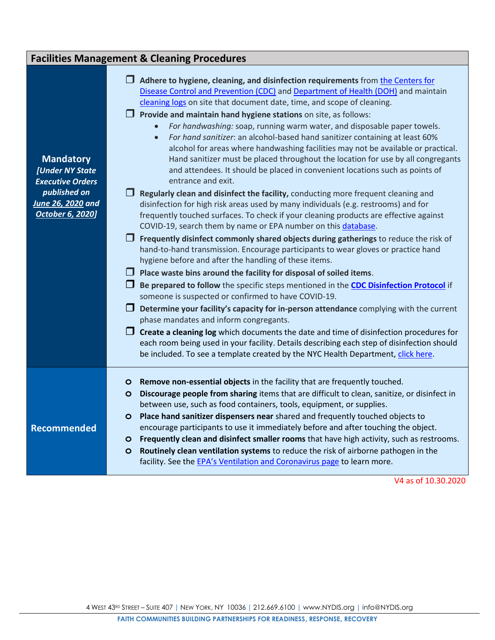| <b>Facilities Management &amp; Cleaning Procedures</b>                                                                  |                                                                                                                                                                                                                                                                                                                                                                                                                                                                                                                                                                                                                                                                                                                                                                                                                                                                                                                                                                                                                                                                                                                                                                                                                                                                                                                                                                                                                                                                                                                                                                                                                                                                                                                                                                                                                                                                                                                                                                                                                                                  |  |  |
|-------------------------------------------------------------------------------------------------------------------------|--------------------------------------------------------------------------------------------------------------------------------------------------------------------------------------------------------------------------------------------------------------------------------------------------------------------------------------------------------------------------------------------------------------------------------------------------------------------------------------------------------------------------------------------------------------------------------------------------------------------------------------------------------------------------------------------------------------------------------------------------------------------------------------------------------------------------------------------------------------------------------------------------------------------------------------------------------------------------------------------------------------------------------------------------------------------------------------------------------------------------------------------------------------------------------------------------------------------------------------------------------------------------------------------------------------------------------------------------------------------------------------------------------------------------------------------------------------------------------------------------------------------------------------------------------------------------------------------------------------------------------------------------------------------------------------------------------------------------------------------------------------------------------------------------------------------------------------------------------------------------------------------------------------------------------------------------------------------------------------------------------------------------------------------------|--|--|
| <b>Mandatory</b><br>[Under NY State<br><b>Executive Orders</b><br>published on<br>June 26, 2020 and<br>October 6, 2020] | $\Box$ Adhere to hygiene, cleaning, and disinfection requirements from the Centers for<br>Disease Control and Prevention (CDC) and Department of Health (DOH) and maintain<br>cleaning logs on site that document date, time, and scope of cleaning.<br>$\Box$ Provide and maintain hand hygiene stations on site, as follows:<br>For handwashing: soap, running warm water, and disposable paper towels.<br>For hand sanitizer: an alcohol-based hand sanitizer containing at least 60%<br>$\bullet$<br>alcohol for areas where handwashing facilities may not be available or practical.<br>Hand sanitizer must be placed throughout the location for use by all congregants<br>and attendees. It should be placed in convenient locations such as points of<br>entrance and exit.<br>$\Box$ Regularly clean and disinfect the facility, conducting more frequent cleaning and<br>disinfection for high risk areas used by many individuals (e.g. restrooms) and for<br>frequently touched surfaces. To check if your cleaning products are effective against<br>COVID-19, search them by name or EPA number on this database.<br>$\Box$ Frequently disinfect commonly shared objects during gatherings to reduce the risk of<br>hand-to-hand transmission. Encourage participants to wear gloves or practice hand<br>hygiene before and after the handling of these items.<br>$\Box$ Place waste bins around the facility for disposal of soiled items.<br>$\Box$ Be prepared to follow the specific steps mentioned in the CDC Disinfection Protocol if<br>someone is suspected or confirmed to have COVID-19.<br>$\Box$ Determine your facility's capacity for in-person attendance complying with the current<br>phase mandates and inform congregants.<br>$\Box$ Create a cleaning log which documents the date and time of disinfection procedures for<br>each room being used in your facility. Details describing each step of disinfection should<br>be included. To see a template created by the NYC Health Department, click here. |  |  |
| <b>Recommended</b>                                                                                                      | O Remove non-essential objects in the facility that are frequently touched.<br>O Discourage people from sharing items that are difficult to clean, sanitize, or disinfect in<br>between use, such as food containers, tools, equipment, or supplies.<br>O Place hand sanitizer dispensers near shared and frequently touched objects to<br>encourage participants to use it immediately before and after touching the object.<br>O Frequently clean and disinfect smaller rooms that have high activity, such as restrooms.<br>Routinely clean ventilation systems to reduce the risk of airborne pathogen in the<br>$\circ$<br>facility. See the EPA's Ventilation and Coronavirus page to learn more.                                                                                                                                                                                                                                                                                                                                                                                                                                                                                                                                                                                                                                                                                                                                                                                                                                                                                                                                                                                                                                                                                                                                                                                                                                                                                                                                          |  |  |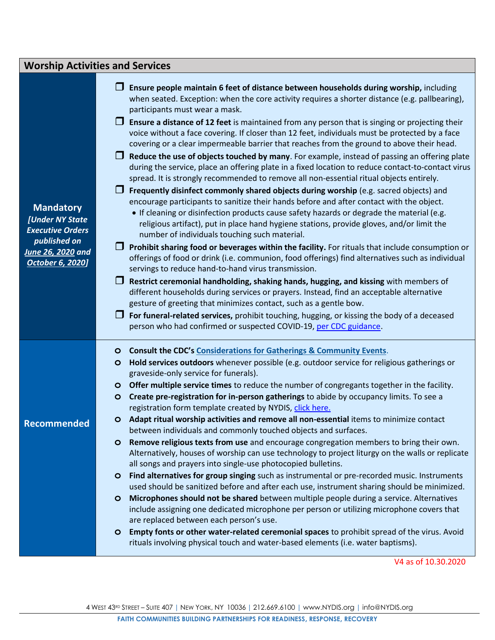| <b>Worship Activities and Services</b>                                                                                         |                                                                                                                                                                                                                                                                                                                                                                                                                                                                                                                                                                                                                                                                                                                                                                                                                                                                                                                                                                                                                                                                                                                                                                                                                                                                                                                                                                                                                                                                                                                                                                                                                                                                                                                                                                                                                                                                                                                                                         |  |  |  |
|--------------------------------------------------------------------------------------------------------------------------------|---------------------------------------------------------------------------------------------------------------------------------------------------------------------------------------------------------------------------------------------------------------------------------------------------------------------------------------------------------------------------------------------------------------------------------------------------------------------------------------------------------------------------------------------------------------------------------------------------------------------------------------------------------------------------------------------------------------------------------------------------------------------------------------------------------------------------------------------------------------------------------------------------------------------------------------------------------------------------------------------------------------------------------------------------------------------------------------------------------------------------------------------------------------------------------------------------------------------------------------------------------------------------------------------------------------------------------------------------------------------------------------------------------------------------------------------------------------------------------------------------------------------------------------------------------------------------------------------------------------------------------------------------------------------------------------------------------------------------------------------------------------------------------------------------------------------------------------------------------------------------------------------------------------------------------------------------------|--|--|--|
| <b>Mandatory</b><br>[Under NY State<br><b>Executive Orders</b><br>published on<br>June 26, 2020 and<br><b>October 6, 2020]</b> | Ensure people maintain 6 feet of distance between households during worship, including<br>when seated. Exception: when the core activity requires a shorter distance (e.g. pallbearing),<br>participants must wear a mask.<br>Ensure a distance of 12 feet is maintained from any person that is singing or projecting their<br>voice without a face covering. If closer than 12 feet, individuals must be protected by a face<br>covering or a clear impermeable barrier that reaches from the ground to above their head.<br>Reduce the use of objects touched by many. For example, instead of passing an offering plate<br>during the service, place an offering plate in a fixed location to reduce contact-to-contact virus<br>spread. It is strongly recommended to remove all non-essential ritual objects entirely.<br>Frequently disinfect commonly shared objects during worship (e.g. sacred objects) and<br>encourage participants to sanitize their hands before and after contact with the object.<br>• If cleaning or disinfection products cause safety hazards or degrade the material (e.g.<br>religious artifact), put in place hand hygiene stations, provide gloves, and/or limit the<br>number of individuals touching such material.<br>Prohibit sharing food or beverages within the facility. For rituals that include consumption or<br>offerings of food or drink (i.e. communion, food offerings) find alternatives such as individual<br>servings to reduce hand-to-hand virus transmission.<br>Restrict ceremonial handholding, shaking hands, hugging, and kissing with members of<br>different households during services or prayers. Instead, find an acceptable alternative<br>gesture of greeting that minimizes contact, such as a gentle bow.<br>For funeral-related services, prohibit touching, hugging, or kissing the body of a deceased<br>person who had confirmed or suspected COVID-19, per CDC guidance. |  |  |  |
| <b>Recommended</b>                                                                                                             | <b>Consult the CDC's Considerations for Gatherings &amp; Community Events.</b><br>$\circ$<br>Hold services outdoors whenever possible (e.g. outdoor service for religious gatherings or<br>$\circ$<br>graveside-only service for funerals).<br>O Offer multiple service times to reduce the number of congregants together in the facility.<br>Create pre-registration for in-person gatherings to abide by occupancy limits. To see a<br>$\circ$<br>registration form template created by NYDIS, click here.<br>O Adapt ritual worship activities and remove all non-essential items to minimize contact<br>between individuals and commonly touched objects and surfaces.<br>Remove religious texts from use and encourage congregation members to bring their own.<br>$\circ$<br>Alternatively, houses of worship can use technology to project liturgy on the walls or replicate<br>all songs and prayers into single-use photocopied bulletins.<br>Find alternatives for group singing such as instrumental or pre-recorded music. Instruments<br>$\circ$<br>used should be sanitized before and after each use, instrument sharing should be minimized.<br>Microphones should not be shared between multiple people during a service. Alternatives<br>$\circ$<br>include assigning one dedicated microphone per person or utilizing microphone covers that<br>are replaced between each person's use.<br>Empty fonts or other water-related ceremonial spaces to prohibit spread of the virus. Avoid<br>$\circ$<br>rituals involving physical touch and water-based elements (i.e. water baptisms).                                                                                                                                                                                                                                                                                                                                               |  |  |  |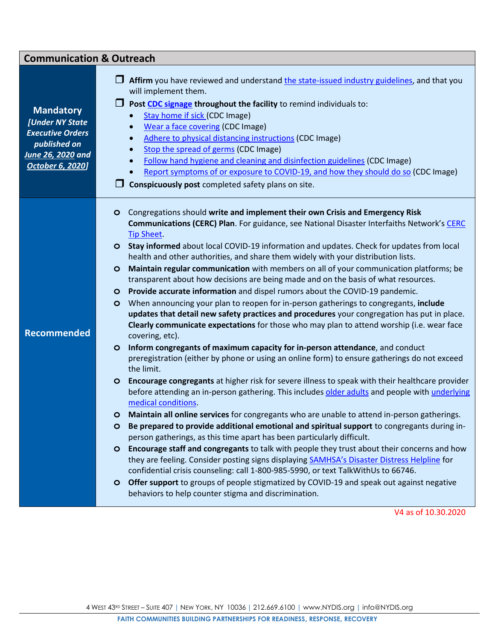| <b>Communication &amp; Outreach</b>                                                                                            |                                                                                                                                                                                                                                                                                                                                                                                                                                                                                                                                                                                                                                                                                                                                                                                                                                                                                                                                                                                                                                                                                                                                                                                                                                                                                                                                                                                                                                                                                                                                                                                                                                                                                                                                                                                                                                                                                                                                                                                                                                                                                                                                                                                                                      |  |  |  |
|--------------------------------------------------------------------------------------------------------------------------------|----------------------------------------------------------------------------------------------------------------------------------------------------------------------------------------------------------------------------------------------------------------------------------------------------------------------------------------------------------------------------------------------------------------------------------------------------------------------------------------------------------------------------------------------------------------------------------------------------------------------------------------------------------------------------------------------------------------------------------------------------------------------------------------------------------------------------------------------------------------------------------------------------------------------------------------------------------------------------------------------------------------------------------------------------------------------------------------------------------------------------------------------------------------------------------------------------------------------------------------------------------------------------------------------------------------------------------------------------------------------------------------------------------------------------------------------------------------------------------------------------------------------------------------------------------------------------------------------------------------------------------------------------------------------------------------------------------------------------------------------------------------------------------------------------------------------------------------------------------------------------------------------------------------------------------------------------------------------------------------------------------------------------------------------------------------------------------------------------------------------------------------------------------------------------------------------------------------------|--|--|--|
| <b>Mandatory</b><br>[Under NY State<br><b>Executive Orders</b><br>published on<br>June 26, 2020 and<br><b>October 6, 2020]</b> | Affirm you have reviewed and understand the state-issued industry guidelines, and that you<br>will implement them.<br>Post CDC signage throughout the facility to remind individuals to:<br>Stay home if sick (CDC Image)<br>Wear a face covering (CDC Image)<br>$\bullet$<br><b>Adhere to physical distancing instructions (CDC Image)</b><br>$\bullet$<br>Stop the spread of germs (CDC Image)<br>$\bullet$<br>Follow hand hygiene and cleaning and disinfection guidelines (CDC Image)<br>$\bullet$<br>Report symptoms of or exposure to COVID-19, and how they should do so (CDC Image)<br>$\bullet$<br>Conspicuously post completed safety plans on site.                                                                                                                                                                                                                                                                                                                                                                                                                                                                                                                                                                                                                                                                                                                                                                                                                                                                                                                                                                                                                                                                                                                                                                                                                                                                                                                                                                                                                                                                                                                                                       |  |  |  |
| <b>Recommended</b>                                                                                                             | Congregations should write and implement their own Crisis and Emergency Risk<br>$\circ$<br><b>Communications (CERC) Plan.</b> For guidance, see National Disaster Interfaiths Network's CERC<br><b>Tip Sheet</b><br><b>O</b> Stay informed about local COVID-19 information and updates. Check for updates from local<br>health and other authorities, and share them widely with your distribution lists.<br>Maintain regular communication with members on all of your communication platforms; be<br>$\circ$<br>transparent about how decisions are being made and on the basis of what resources.<br>Provide accurate information and dispel rumors about the COVID-19 pandemic.<br>$\circ$<br>When announcing your plan to reopen for in-person gatherings to congregants, include<br>$\circ$<br>updates that detail new safety practices and procedures your congregation has put in place.<br><b>Clearly communicate expectations</b> for those who may plan to attend worship (i.e. wear face<br>covering, etc).<br>Inform congregants of maximum capacity for in-person attendance, and conduct<br>$\circ$<br>preregistration (either by phone or using an online form) to ensure gatherings do not exceed<br>the limit.<br>Encourage congregants at higher risk for severe illness to speak with their healthcare provider<br>$\circ$<br>before attending an in-person gathering. This includes older adults and people with underlying<br>medical conditions.<br>Maintain all online services for congregants who are unable to attend in-person gatherings.<br>O<br>Be prepared to provide additional emotional and spiritual support to congregants during in-<br>$\circ$<br>person gatherings, as this time apart has been particularly difficult.<br>Encourage staff and congregants to talk with people they trust about their concerns and how<br>$\circ$<br>they are feeling. Consider posting signs displaying SAMHSA's Disaster Distress Helpline for<br>confidential crisis counseling: call 1-800-985-5990, or text TalkWithUs to 66746.<br>O Offer support to groups of people stigmatized by COVID-19 and speak out against negative<br>behaviors to help counter stigma and discrimination. |  |  |  |